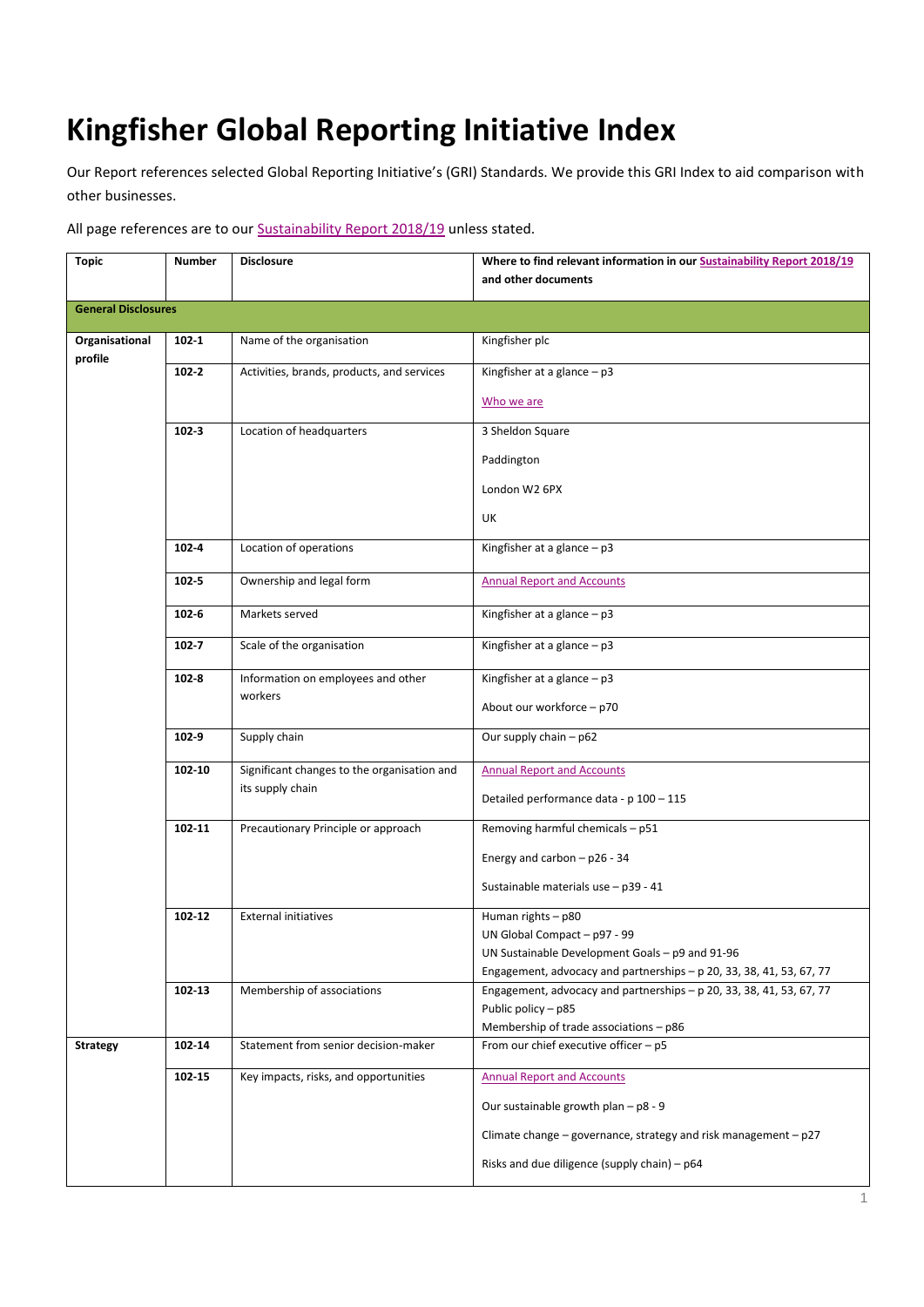## **Kingfisher Global Reporting Initiative Index**

Our Report references selected Global Reporting Initiative's (GRI) Standards. We provide this GRI Index to aid comparison with other businesses.

All page references are to our **Sustainability Report 2018/19** unless stated.

| <b>Topic</b>               | <b>Number</b> | <b>Disclosure</b>                           | Where to find relevant information in our Sustainability Report 2018/19         |
|----------------------------|---------------|---------------------------------------------|---------------------------------------------------------------------------------|
|                            |               |                                             | and other documents                                                             |
| <b>General Disclosures</b> |               |                                             |                                                                                 |
| Organisational<br>profile  | $102 - 1$     | Name of the organisation                    | Kingfisher plc                                                                  |
|                            | $102 - 2$     | Activities, brands, products, and services  | Kingfisher at a glance $- p3$                                                   |
|                            |               |                                             | Who we are                                                                      |
|                            | $102 - 3$     | Location of headquarters                    | 3 Sheldon Square                                                                |
|                            |               |                                             | Paddington                                                                      |
|                            |               |                                             | London W2 6PX                                                                   |
|                            |               |                                             | UK                                                                              |
|                            | $102 - 4$     | Location of operations                      | Kingfisher at a glance $- p3$                                                   |
|                            | $102 - 5$     | Ownership and legal form                    | <b>Annual Report and Accounts</b>                                               |
|                            | $102 - 6$     | Markets served                              | Kingfisher at a glance $- p3$                                                   |
|                            | $102 - 7$     | Scale of the organisation                   | Kingfisher at a glance $- p3$                                                   |
|                            | $102 - 8$     | Information on employees and other          | Kingfisher at a glance $-p3$                                                    |
|                            |               | workers                                     | About our workforce - p70                                                       |
|                            | 102-9         | Supply chain                                | Our supply chain - p62                                                          |
|                            | 102-10        | Significant changes to the organisation and | <b>Annual Report and Accounts</b>                                               |
|                            |               | its supply chain                            | Detailed performance data - p 100 - 115                                         |
|                            | 102-11        | Precautionary Principle or approach         | Removing harmful chemicals - p51                                                |
|                            |               |                                             | Energy and carbon $-$ p26 - 34                                                  |
|                            |               |                                             | Sustainable materials use - p39 - 41                                            |
|                            | 102-12        | <b>External initiatives</b>                 | Human rights - p80                                                              |
|                            |               |                                             | UN Global Compact - p97 - 99<br>UN Sustainable Development Goals - p9 and 91-96 |
|                            |               |                                             | Engagement, advocacy and partnerships $-$ p 20, 33, 38, 41, 53, 67, 77          |
|                            | 102-13        | Membership of associations                  | Engagement, advocacy and partnerships - p 20, 33, 38, 41, 53, 67, 77            |
|                            |               |                                             | Public policy - p85<br>Membership of trade associations - p86                   |
| <b>Strategy</b>            | 102-14        | Statement from senior decision-maker        | From our chief executive officer - p5                                           |
|                            |               | Key impacts, risks, and opportunities       |                                                                                 |
|                            | 102-15        |                                             | <b>Annual Report and Accounts</b>                                               |
|                            |               |                                             | Our sustainable growth plan - p8 - 9                                            |
|                            |               |                                             | Climate change – governance, strategy and risk management – $p27$               |
|                            |               |                                             | Risks and due diligence (supply chain) - p64                                    |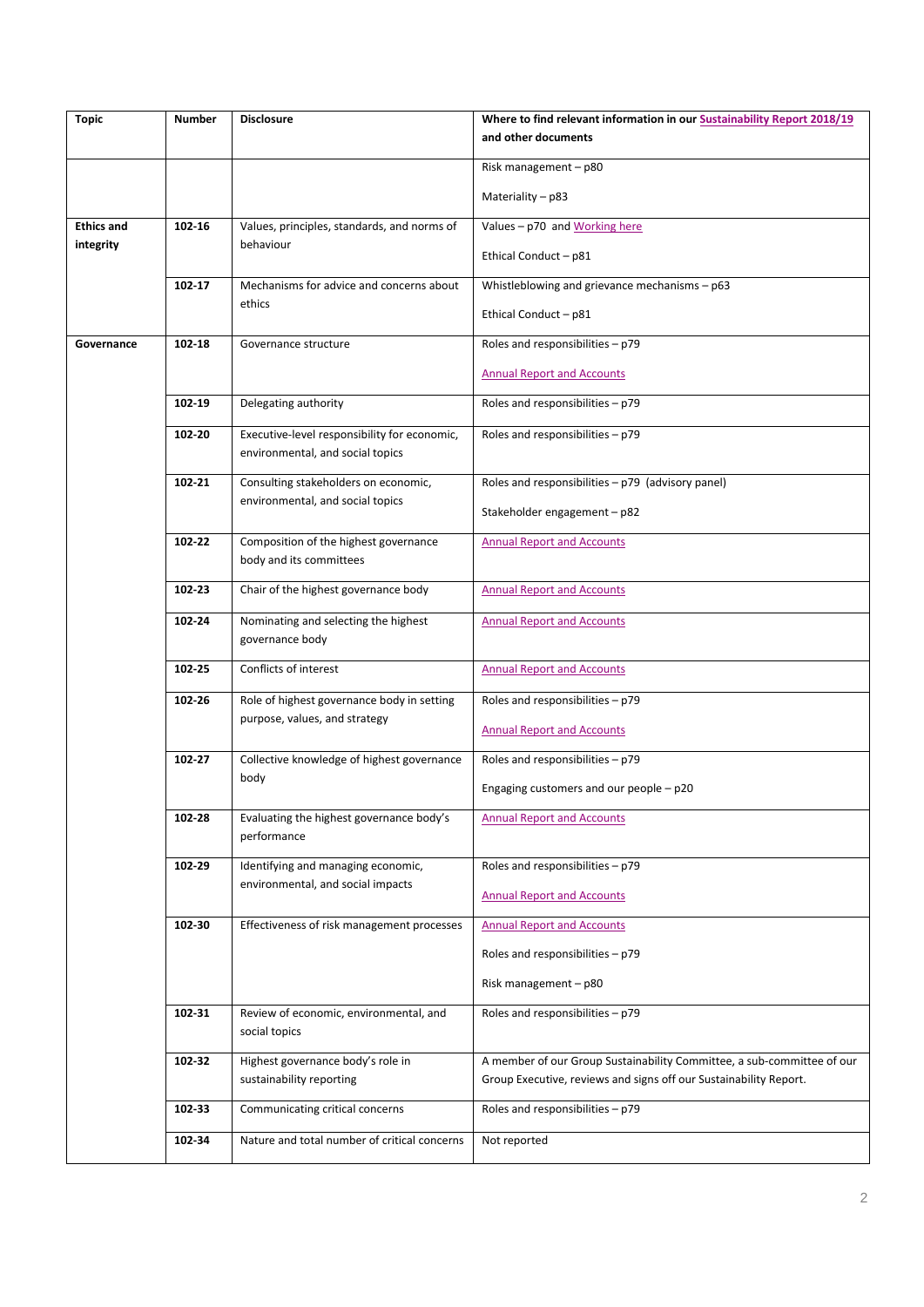| <b>Topic</b>      | <b>Number</b> | <b>Disclosure</b>                                                                | Where to find relevant information in our Sustainability Report 2018/19<br>and other documents                                              |
|-------------------|---------------|----------------------------------------------------------------------------------|---------------------------------------------------------------------------------------------------------------------------------------------|
|                   |               |                                                                                  | Risk management - p80                                                                                                                       |
|                   |               |                                                                                  | Materiality - p83                                                                                                                           |
| <b>Ethics and</b> | 102-16        | Values, principles, standards, and norms of                                      | Values - p70 and Working here                                                                                                               |
| integrity         |               | behaviour                                                                        | Ethical Conduct - p81                                                                                                                       |
|                   | 102-17        | Mechanisms for advice and concerns about<br>ethics                               | Whistleblowing and grievance mechanisms - p63                                                                                               |
|                   |               |                                                                                  | Ethical Conduct - p81                                                                                                                       |
| Governance        | 102-18        | Governance structure                                                             | Roles and responsibilities - p79                                                                                                            |
|                   |               |                                                                                  | <b>Annual Report and Accounts</b>                                                                                                           |
|                   | 102-19        | Delegating authority                                                             | Roles and responsibilities - p79                                                                                                            |
|                   | 102-20        | Executive-level responsibility for economic,<br>environmental, and social topics | Roles and responsibilities - p79                                                                                                            |
|                   | 102-21        | Consulting stakeholders on economic,                                             | Roles and responsibilities $- p79$ (advisory panel)                                                                                         |
|                   |               | environmental, and social topics                                                 | Stakeholder engagement - p82                                                                                                                |
|                   | 102-22        | Composition of the highest governance<br>body and its committees                 | <b>Annual Report and Accounts</b>                                                                                                           |
|                   | 102-23        | Chair of the highest governance body                                             | <b>Annual Report and Accounts</b>                                                                                                           |
|                   | 102-24        | Nominating and selecting the highest<br>governance body                          | <b>Annual Report and Accounts</b>                                                                                                           |
|                   | 102-25        | Conflicts of interest                                                            | <b>Annual Report and Accounts</b>                                                                                                           |
|                   | 102-26        | Role of highest governance body in setting                                       | Roles and responsibilities - p79                                                                                                            |
|                   |               | purpose, values, and strategy                                                    | <b>Annual Report and Accounts</b>                                                                                                           |
|                   | 102-27        | Collective knowledge of highest governance                                       | Roles and responsibilities - p79                                                                                                            |
|                   |               | body                                                                             | Engaging customers and our people - p20                                                                                                     |
|                   | 102-28        | Evaluating the highest governance body's<br>performance                          | <b>Annual Report and Accounts</b>                                                                                                           |
|                   | 102 29        | Identifying and managing economic,                                               | Roles and responsibilities - p79                                                                                                            |
|                   |               | environmental, and social impacts                                                | <b>Annual Report and Accounts</b>                                                                                                           |
|                   | 102-30        | Effectiveness of risk management processes                                       | <b>Annual Report and Accounts</b>                                                                                                           |
|                   |               |                                                                                  | Roles and responsibilities - p79                                                                                                            |
|                   |               |                                                                                  | Risk management - p80                                                                                                                       |
|                   | 102 31        | Review of economic, environmental, and<br>social topics                          | Roles and responsibilities - p79                                                                                                            |
|                   | 102-32        | Highest governance body's role in<br>sustainability reporting                    | A member of our Group Sustainability Committee, a sub-committee of our<br>Group Executive, reviews and signs off our Sustainability Report. |
|                   | 102-33        | Communicating critical concerns                                                  | Roles and responsibilities - p79                                                                                                            |
|                   | 102-34        | Nature and total number of critical concerns                                     | Not reported                                                                                                                                |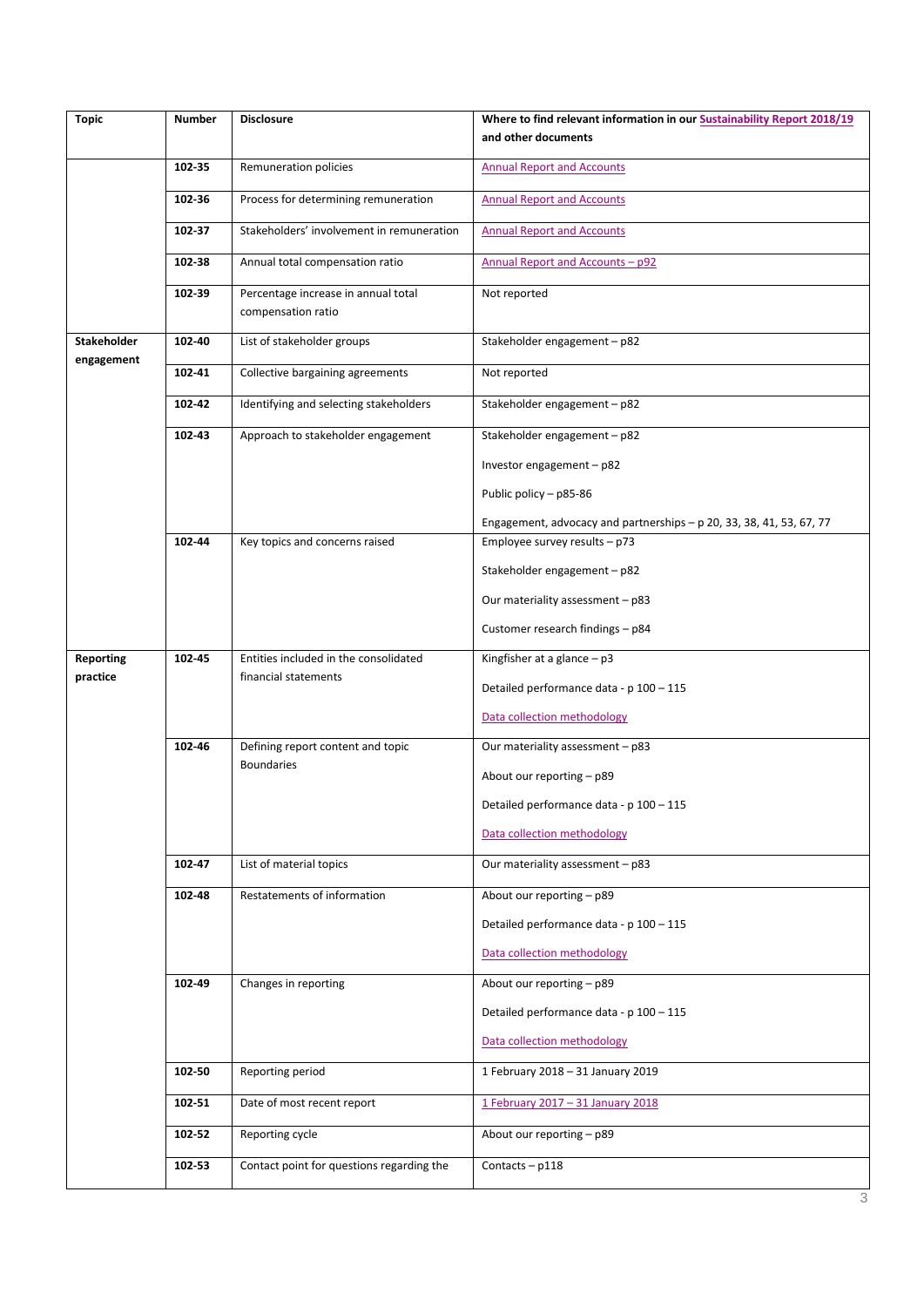| <b>Topic</b>                     | <b>Number</b> | <b>Disclosure</b>                                         | Where to find relevant information in our Sustainability Report 2018/19<br>and other documents |
|----------------------------------|---------------|-----------------------------------------------------------|------------------------------------------------------------------------------------------------|
|                                  | 102-35        | Remuneration policies                                     | <b>Annual Report and Accounts</b>                                                              |
|                                  | 102-36        | Process for determining remuneration                      | <b>Annual Report and Accounts</b>                                                              |
|                                  | 102-37        | Stakeholders' involvement in remuneration                 | <b>Annual Report and Accounts</b>                                                              |
|                                  | 102-38        | Annual total compensation ratio                           | Annual Report and Accounts - p92                                                               |
|                                  | 102-39        | Percentage increase in annual total<br>compensation ratio | Not reported                                                                                   |
| <b>Stakeholder</b><br>engagement | 102-40        | List of stakeholder groups                                | Stakeholder engagement - p82                                                                   |
|                                  | 102-41        | Collective bargaining agreements                          | Not reported                                                                                   |
|                                  | 102-42        | Identifying and selecting stakeholders                    | Stakeholder engagement - p82                                                                   |
|                                  | 102-43        | Approach to stakeholder engagement                        | Stakeholder engagement - p82                                                                   |
|                                  |               |                                                           | Investor engagement - p82                                                                      |
|                                  |               |                                                           | Public policy - p85-86                                                                         |
|                                  |               |                                                           | Engagement, advocacy and partnerships - p 20, 33, 38, 41, 53, 67, 77                           |
|                                  | 102-44        | Key topics and concerns raised                            | Employee survey results $-$ p73                                                                |
|                                  |               |                                                           | Stakeholder engagement - p82                                                                   |
|                                  |               |                                                           | Our materiality assessment - p83                                                               |
|                                  |               |                                                           | Customer research findings - p84                                                               |
| <b>Reporting</b>                 | 102-45        | Entities included in the consolidated                     | Kingfisher at a glance $- p3$                                                                  |
| practice                         |               | financial statements                                      | Detailed performance data - p 100 - 115                                                        |
|                                  |               |                                                           | Data collection methodology                                                                    |
|                                  | 102-46        | Defining report content and topic                         | Our materiality assessment - p83                                                               |
|                                  |               | <b>Boundaries</b>                                         | About our reporting - p89                                                                      |
|                                  |               |                                                           | Detailed performance data - p 100 - 115                                                        |
|                                  |               |                                                           | Data collection methodology                                                                    |
|                                  | 102-47        | List of material topics                                   | Our materiality assessment - p83                                                               |
|                                  | 102-48        | Restatements of information                               | About our reporting - p89                                                                      |
|                                  |               |                                                           | Detailed performance data - p 100 - 115                                                        |
|                                  |               |                                                           | Data collection methodology                                                                    |
|                                  | 102-49        | Changes in reporting                                      | About our reporting - p89                                                                      |
|                                  |               |                                                           | Detailed performance data - p 100 - 115                                                        |
|                                  |               |                                                           | Data collection methodology                                                                    |
|                                  | 102-50        | Reporting period                                          | 1 February 2018 - 31 January 2019                                                              |
|                                  | 102-51        | Date of most recent report                                | 1 February 2017 - 31 January 2018                                                              |
|                                  | 102-52        | Reporting cycle                                           | About our reporting - p89                                                                      |
|                                  | 102-53        | Contact point for questions regarding the                 | Contacts $-$ p118                                                                              |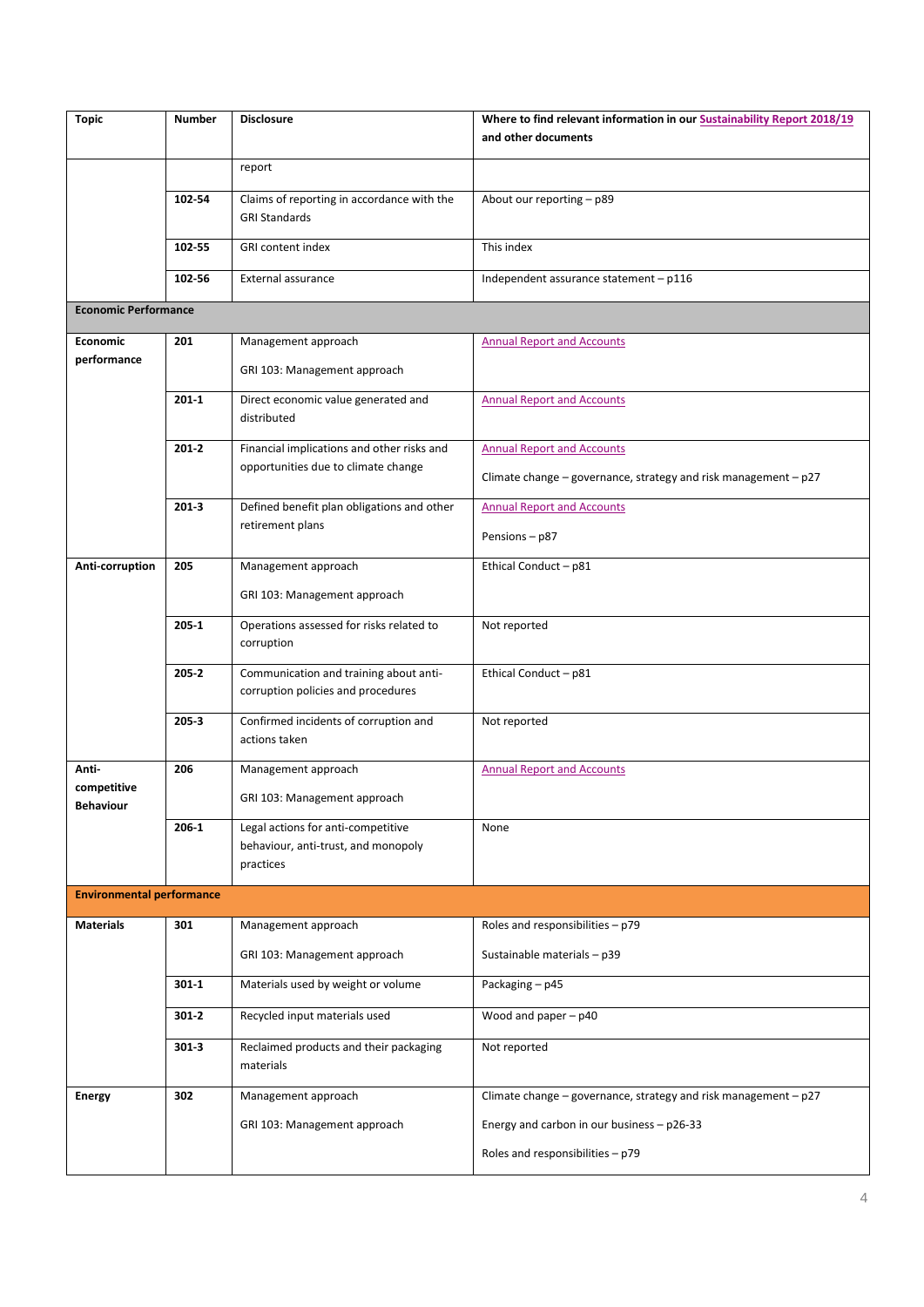| <b>Topic</b>                     | <b>Number</b> | <b>Disclosure</b>                                                            | Where to find relevant information in our Sustainability Report 2018/19<br>and other documents |
|----------------------------------|---------------|------------------------------------------------------------------------------|------------------------------------------------------------------------------------------------|
|                                  |               | report                                                                       |                                                                                                |
|                                  | 102-54        | Claims of reporting in accordance with the<br><b>GRI Standards</b>           | About our reporting - p89                                                                      |
|                                  | 102-55        | GRI content index                                                            | This index                                                                                     |
|                                  | 102-56        | External assurance                                                           | Independent assurance statement - p116                                                         |
| <b>Economic Performance</b>      |               |                                                                              |                                                                                                |
| <b>Economic</b>                  | 201           | Management approach                                                          | <b>Annual Report and Accounts</b>                                                              |
| performance                      |               | GRI 103: Management approach                                                 |                                                                                                |
|                                  | $201 - 1$     | Direct economic value generated and<br>distributed                           | <b>Annual Report and Accounts</b>                                                              |
|                                  | $201 - 2$     | Financial implications and other risks and                                   | <b>Annual Report and Accounts</b>                                                              |
|                                  |               | opportunities due to climate change                                          | Climate change - governance, strategy and risk management - p27                                |
|                                  | $201 - 3$     | Defined benefit plan obligations and other                                   | <b>Annual Report and Accounts</b>                                                              |
|                                  |               | retirement plans                                                             | Pensions-p87                                                                                   |
| Anti-corruption                  | 205           | Management approach                                                          | Ethical Conduct - p81                                                                          |
|                                  |               | GRI 103: Management approach                                                 |                                                                                                |
|                                  | 205 1         | Operations assessed for risks related to<br>corruption                       | Not reported                                                                                   |
|                                  | $205 - 2$     | Communication and training about anti-<br>corruption policies and procedures | Ethical Conduct - p81                                                                          |
|                                  | 205-3         | Confirmed incidents of corruption and<br>actions taken                       | Not reported                                                                                   |
| Anti-                            | 206           | Management approach                                                          | <b>Annual Report and Accounts</b>                                                              |
| competitive<br><b>Behaviour</b>  |               | GRI 103: Management approach                                                 |                                                                                                |
|                                  | $206 - 1$     | Legal actions for anti-competitive                                           | None                                                                                           |
|                                  |               | behaviour, anti-trust, and monopoly<br>practices                             |                                                                                                |
| <b>Environmental performance</b> |               |                                                                              |                                                                                                |
| <b>Materials</b>                 | 301           | Management approach                                                          | Roles and responsibilities - p79                                                               |
|                                  |               | GRI 103: Management approach                                                 | Sustainable materials - p39                                                                    |
|                                  | $301 - 1$     | Materials used by weight or volume                                           | Packaging - p45                                                                                |
|                                  | $301 - 2$     | Recycled input materials used                                                | Wood and paper $- p40$                                                                         |
|                                  | $301 - 3$     | Reclaimed products and their packaging<br>materials                          | Not reported                                                                                   |
| <b>Energy</b>                    | 302           | Management approach                                                          | Climate change - governance, strategy and risk management - p27                                |
|                                  |               | GRI 103: Management approach                                                 | Energy and carbon in our business - p26-33                                                     |
|                                  |               |                                                                              | Roles and responsibilities - p79                                                               |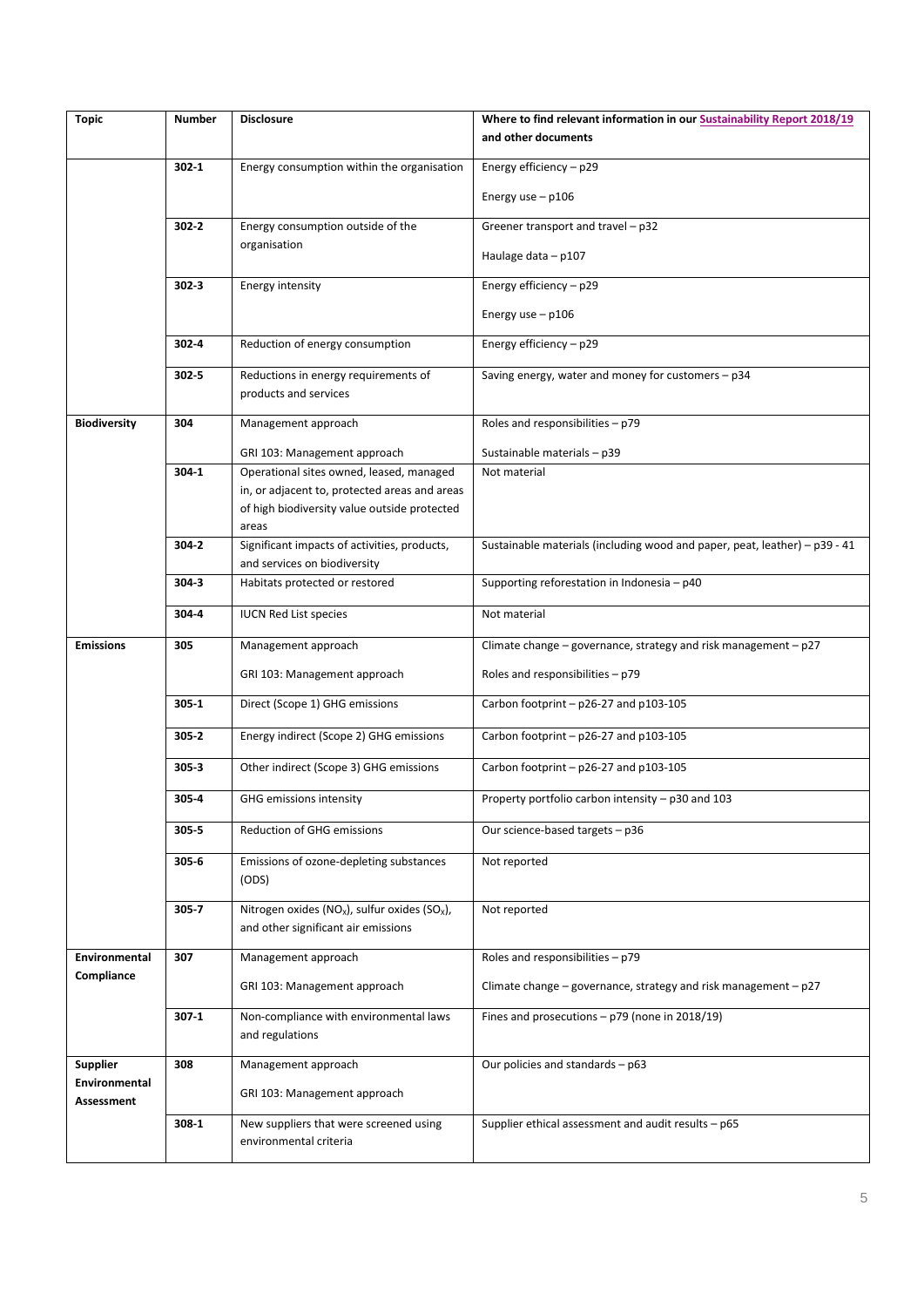| <b>Topic</b>                | <b>Number</b> | <b>Disclosure</b>                                                                                                                                  | Where to find relevant information in our Sustainability Report 2018/19<br>and other documents |
|-----------------------------|---------------|----------------------------------------------------------------------------------------------------------------------------------------------------|------------------------------------------------------------------------------------------------|
|                             |               |                                                                                                                                                    |                                                                                                |
|                             | $302 - 1$     | Energy consumption within the organisation                                                                                                         | Energy efficiency - p29<br>Energy use $-$ p106                                                 |
|                             | $302 - 2$     | Energy consumption outside of the                                                                                                                  | Greener transport and travel - p32                                                             |
|                             |               | organisation                                                                                                                                       | Haulage data $-$ p107                                                                          |
|                             | $302 - 3$     | <b>Energy intensity</b>                                                                                                                            | Energy efficiency $-$ p29                                                                      |
|                             |               |                                                                                                                                                    | Energy use $-$ p106                                                                            |
|                             | 302-4         | Reduction of energy consumption                                                                                                                    | Energy efficiency - p29                                                                        |
|                             | $302 - 5$     | Reductions in energy requirements of<br>products and services                                                                                      | Saving energy, water and money for customers - p34                                             |
| <b>Biodiversity</b>         | 304           | Management approach                                                                                                                                | Roles and responsibilities - p79                                                               |
|                             |               | GRI 103: Management approach                                                                                                                       | Sustainable materials - p39                                                                    |
|                             | 304-1         | Operational sites owned, leased, managed<br>in, or adjacent to, protected areas and areas<br>of high biodiversity value outside protected<br>areas | Not material                                                                                   |
|                             | 304-2         | Significant impacts of activities, products,<br>and services on biodiversity                                                                       | Sustainable materials (including wood and paper, peat, leather) - p39 - 41                     |
|                             | 304-3         | Habitats protected or restored                                                                                                                     | Supporting reforestation in Indonesia - p40                                                    |
|                             | 304-4         | <b>IUCN Red List species</b>                                                                                                                       | Not material                                                                                   |
| <b>Emissions</b>            | 305           | Management approach                                                                                                                                | Climate change - governance, strategy and risk management - p27                                |
|                             |               | GRI 103: Management approach                                                                                                                       | Roles and responsibilities - p79                                                               |
|                             | $305 - 1$     | Direct (Scope 1) GHG emissions                                                                                                                     | Carbon footprint - p26-27 and p103-105                                                         |
|                             | $305 - 2$     | Energy indirect (Scope 2) GHG emissions                                                                                                            | Carbon footprint - p26-27 and p103-105                                                         |
|                             | $305 - 3$     | Other indirect (Scope 3) GHG emissions                                                                                                             | Carbon footprint - p26-27 and p103-105                                                         |
|                             | 305-4         | GHG emissions intensity                                                                                                                            | Property portfolio carbon intensity – p30 and 103                                              |
|                             | 305-5         | Reduction of GHG emissions                                                                                                                         | Our science-based targets - p36                                                                |
|                             | $305 - 6$     | Emissions of ozone-depleting substances<br>(ODS)                                                                                                   | Not reported                                                                                   |
|                             | 305-7         | Nitrogen oxides ( $NO_x$ ), sulfur oxides ( $SO_x$ ),<br>and other significant air emissions                                                       | Not reported                                                                                   |
| Environmental               | 307           | Management approach                                                                                                                                | Roles and responsibilities - p79                                                               |
| Compliance                  |               | GRI 103: Management approach                                                                                                                       | Climate change - governance, strategy and risk management - p27                                |
|                             | 307 1         | Non-compliance with environmental laws<br>and regulations                                                                                          | Fines and prosecutions $-$ p79 (none in 2018/19)                                               |
| <b>Supplier</b>             | 308           | Management approach                                                                                                                                | Our policies and standards - p63                                                               |
| Environmental<br>Assessment |               | GRI 103: Management approach                                                                                                                       |                                                                                                |
|                             | $308 - 1$     | New suppliers that were screened using<br>environmental criteria                                                                                   | Supplier ethical assessment and audit results - p65                                            |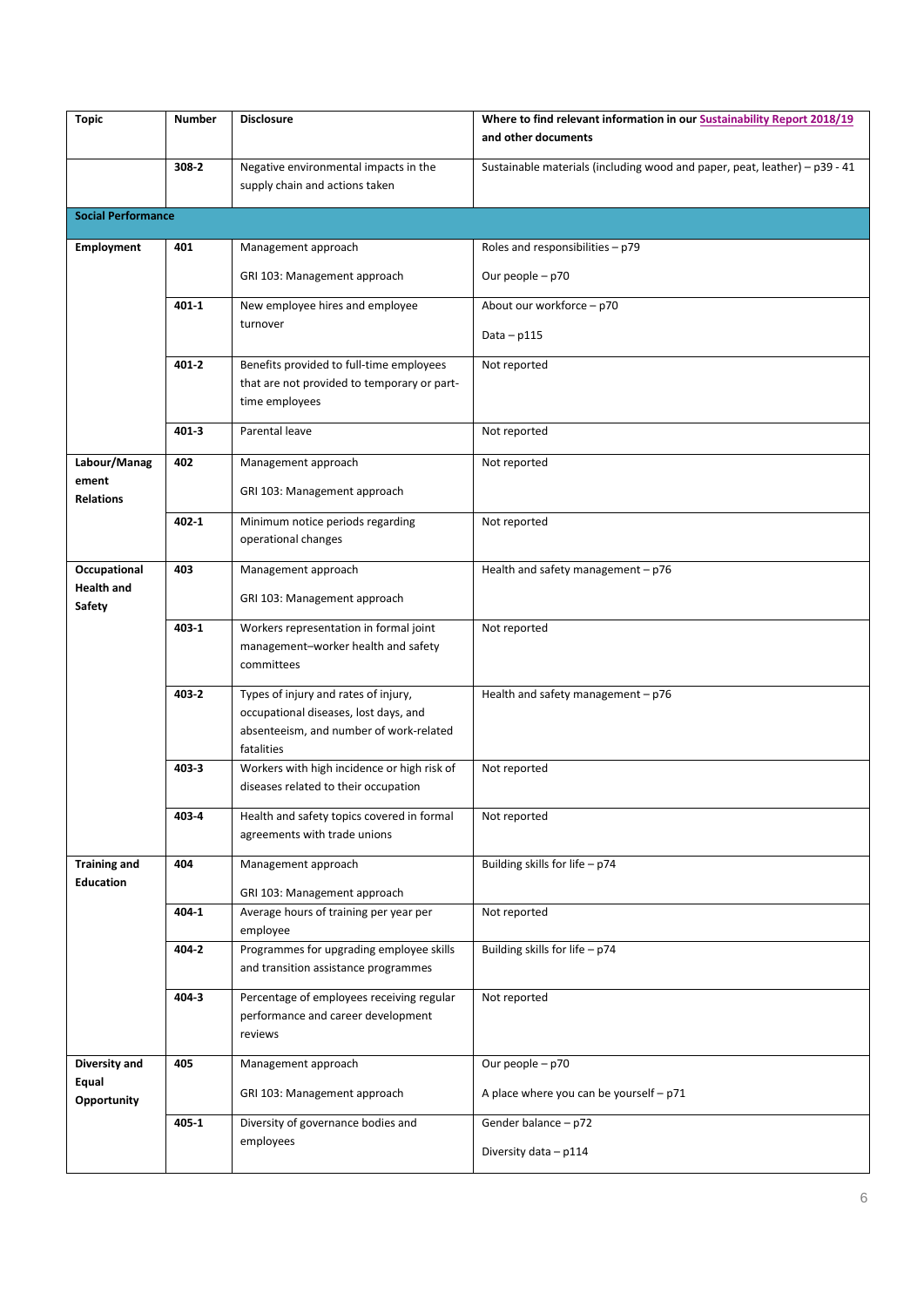| <b>Topic</b>                            | <b>Number</b> | <b>Disclosure</b>                                                                                                                      | Where to find relevant information in our Sustainability Report 2018/19<br>and other documents |
|-----------------------------------------|---------------|----------------------------------------------------------------------------------------------------------------------------------------|------------------------------------------------------------------------------------------------|
|                                         | 308-2         | Negative environmental impacts in the<br>supply chain and actions taken                                                                | Sustainable materials (including wood and paper, peat, leather) - p39 - 41                     |
| <b>Social Performance</b>               |               |                                                                                                                                        |                                                                                                |
| <b>Employment</b>                       | 401           | Management approach                                                                                                                    | Roles and responsibilities - p79                                                               |
|                                         |               | GRI 103: Management approach                                                                                                           | Our people - p70                                                                               |
|                                         | $401 - 1$     | New employee hires and employee<br>turnover                                                                                            | About our workforce - p70<br>Data $-$ p115                                                     |
|                                         | 401-2         | Benefits provided to full-time employees<br>that are not provided to temporary or part-<br>time employees                              | Not reported                                                                                   |
|                                         | 4013          | Parental leave                                                                                                                         | Not reported                                                                                   |
| Labour/Manag<br>ement                   | 402           | Management approach                                                                                                                    | Not reported                                                                                   |
| <b>Relations</b>                        |               | GRI 103: Management approach                                                                                                           |                                                                                                |
|                                         | $402 - 1$     | Minimum notice periods regarding<br>operational changes                                                                                | Not reported                                                                                   |
| Occupational                            | 403           | Management approach                                                                                                                    | Health and safety management $- p76$                                                           |
| <b>Health and</b><br><b>Safety</b>      |               | GRI 103: Management approach                                                                                                           |                                                                                                |
|                                         | 403-1         | Workers representation in formal joint<br>management-worker health and safety<br>committees                                            | Not reported                                                                                   |
|                                         | 403-2         | Types of injury and rates of injury,<br>occupational diseases, lost days, and<br>absenteeism, and number of work-related<br>fatalities | Health and safety management $-$ p76                                                           |
|                                         | 403-3         | Workers with high incidence or high risk of<br>diseases related to their occupation                                                    | Not reported                                                                                   |
|                                         | 403 4         | Health and safety topics covered in formal<br>agreements with trade unions                                                             | Not reported                                                                                   |
| <b>Training and</b><br><b>Education</b> | 404           | Management approach                                                                                                                    | Building skills for life - p74                                                                 |
|                                         | 404-1         | GRI 103: Management approach<br>Average hours of training per year per                                                                 | Not reported                                                                                   |
|                                         |               | employee                                                                                                                               |                                                                                                |
|                                         | 404-2         | Programmes for upgrading employee skills<br>and transition assistance programmes                                                       | Building skills for life - p74                                                                 |
|                                         | 404-3         | Percentage of employees receiving regular<br>performance and career development<br>reviews                                             | Not reported                                                                                   |
| Diversity and<br>Equal                  | 405           | Management approach                                                                                                                    | Our people - p70                                                                               |
| Opportunity                             |               | GRI 103: Management approach                                                                                                           | A place where you can be yourself - p71                                                        |
|                                         | 405-1         | Diversity of governance bodies and<br>employees                                                                                        | Gender balance - p72                                                                           |
|                                         |               |                                                                                                                                        | Diversity data - p114                                                                          |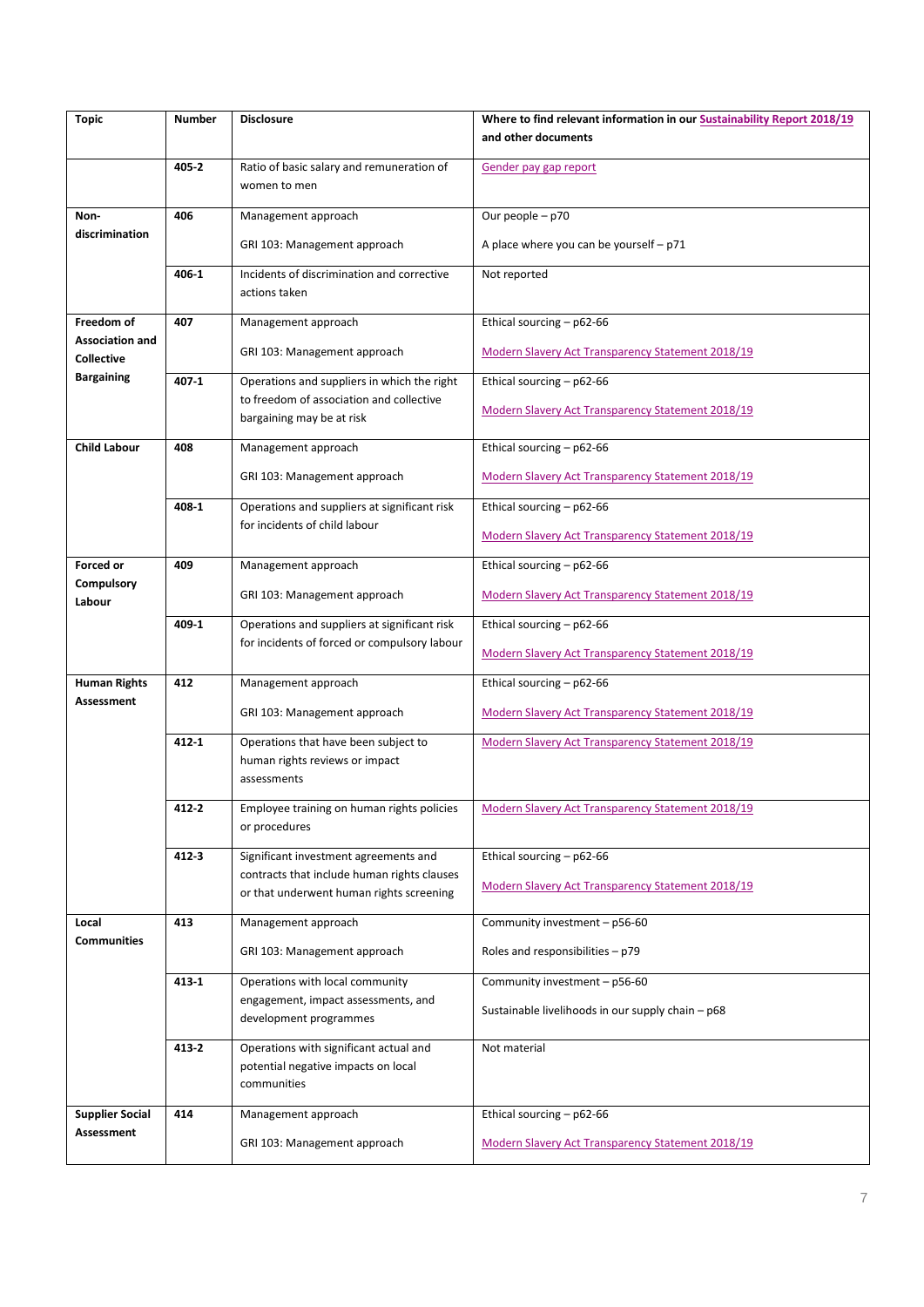| <b>Topic</b>                         | <b>Number</b> | <b>Disclosure</b>                                                                            | Where to find relevant information in our Sustainability Report 2018/19 |
|--------------------------------------|---------------|----------------------------------------------------------------------------------------------|-------------------------------------------------------------------------|
|                                      |               |                                                                                              | and other documents                                                     |
|                                      | 405-2         | Ratio of basic salary and remuneration of<br>women to men                                    | Gender pay gap report                                                   |
| Non-                                 | 406           | Management approach                                                                          | Our people - p70                                                        |
| discrimination                       |               | GRI 103: Management approach                                                                 | A place where you can be yourself $- p71$                               |
|                                      | 406-1         | Incidents of discrimination and corrective<br>actions taken                                  | Not reported                                                            |
| Freedom of                           | 407           | Management approach                                                                          | Ethical sourcing - p62-66                                               |
| <b>Association and</b><br>Collective |               | GRI 103: Management approach                                                                 | Modern Slavery Act Transparency Statement 2018/19                       |
| <b>Bargaining</b>                    | 407-1         | Operations and suppliers in which the right                                                  | Ethical sourcing - p62-66                                               |
|                                      |               | to freedom of association and collective<br>bargaining may be at risk                        | Modern Slavery Act Transparency Statement 2018/19                       |
| <b>Child Labour</b>                  | 408           | Management approach                                                                          | Ethical sourcing - p62-66                                               |
|                                      |               | GRI 103: Management approach                                                                 | Modern Slavery Act Transparency Statement 2018/19                       |
|                                      | 408-1         | Operations and suppliers at significant risk                                                 | Ethical sourcing - p62-66                                               |
|                                      |               | for incidents of child labour                                                                | <b>Modern Slavery Act Transparency Statement 2018/19</b>                |
| Forced or                            | 409           | Management approach                                                                          | Ethical sourcing - p62-66                                               |
| Compulsory<br>Labour                 |               | GRI 103: Management approach                                                                 | Modern Slavery Act Transparency Statement 2018/19                       |
|                                      | 409-1         | Operations and suppliers at significant risk<br>for incidents of forced or compulsory labour | Ethical sourcing - p62-66                                               |
|                                      |               |                                                                                              | Modern Slavery Act Transparency Statement 2018/19                       |
| <b>Human Rights</b><br>Assessment    | 412           | Management approach                                                                          | Ethical sourcing - p62-66                                               |
|                                      |               | GRI 103: Management approach                                                                 | Modern Slavery Act Transparency Statement 2018/19                       |
|                                      | 412 1         | Operations that have been subject to<br>human rights reviews or impact<br>assessments        | Modern Slavery Act Transparency Statement 2018/19                       |
|                                      | 412 2         | Employee training on human rights policies<br>or procedures                                  | <u>Modern Slavery Act Transparency Statement 2018/19</u>                |
|                                      | 4123          | Significant investment agreements and                                                        | Ethical sourcing - p62-66                                               |
|                                      |               | contracts that include human rights clauses<br>or that underwent human rights screening      | Modern Slavery Act Transparency Statement 2018/19                       |
| Local                                | 413           | Management approach                                                                          | Community investment - p56-60                                           |
| <b>Communities</b>                   |               | GRI 103: Management approach                                                                 | Roles and responsibilities - p79                                        |
|                                      | 413 1         | Operations with local community                                                              | Community investment - p56-60                                           |
|                                      |               | engagement, impact assessments, and<br>development programmes                                | Sustainable livelihoods in our supply chain – p68                       |
|                                      | 413 2         | Operations with significant actual and<br>potential negative impacts on local                | Not material                                                            |
|                                      |               | communities                                                                                  |                                                                         |
| <b>Supplier Social</b>               | 414           | Management approach                                                                          | Ethical sourcing - p62-66                                               |
| Assessment                           |               | GRI 103: Management approach                                                                 | Modern Slavery Act Transparency Statement 2018/19                       |